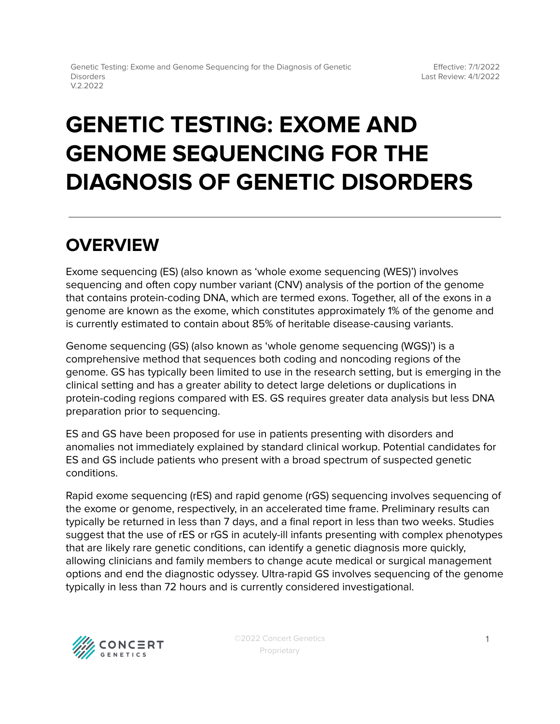# **GENETIC TESTING: EXOME AND GENOME SEQUENCING FOR THE DIAGNOSIS OF GENETIC DISORDERS**

# **OVERVIEW**

Exome sequencing (ES) (also known as 'whole exome sequencing (WES)') involves sequencing and often copy number variant (CNV) analysis of the portion of the genome that contains protein-coding DNA, which are termed exons. Together, all of the exons in a genome are known as the exome, which constitutes approximately 1% of the genome and is currently estimated to contain about 85% of heritable disease-causing variants.

Genome sequencing (GS) (also known as 'whole genome sequencing (WGS)') is a comprehensive method that sequences both coding and noncoding regions of the genome. GS has typically been limited to use in the research setting, but is emerging in the clinical setting and has a greater ability to detect large deletions or duplications in protein-coding regions compared with ES. GS requires greater data analysis but less DNA preparation prior to sequencing.

ES and GS have been proposed for use in patients presenting with disorders and anomalies not immediately explained by standard clinical workup. Potential candidates for ES and GS include patients who present with a broad spectrum of suspected genetic conditions.

Rapid exome sequencing (rES) and rapid genome (rGS) sequencing involves sequencing of the exome or genome, respectively, in an accelerated time frame. Preliminary results can typically be returned in less than 7 days, and a final report in less than two weeks. Studies suggest that the use of rES or rGS in acutely-ill infants presenting with complex phenotypes that are likely rare genetic conditions, can identify a genetic diagnosis more quickly, allowing clinicians and family members to change acute medical or surgical management options and end the diagnostic odyssey. Ultra-rapid GS involves sequencing of the genome typically in less than 72 hours and is currently considered investigational.

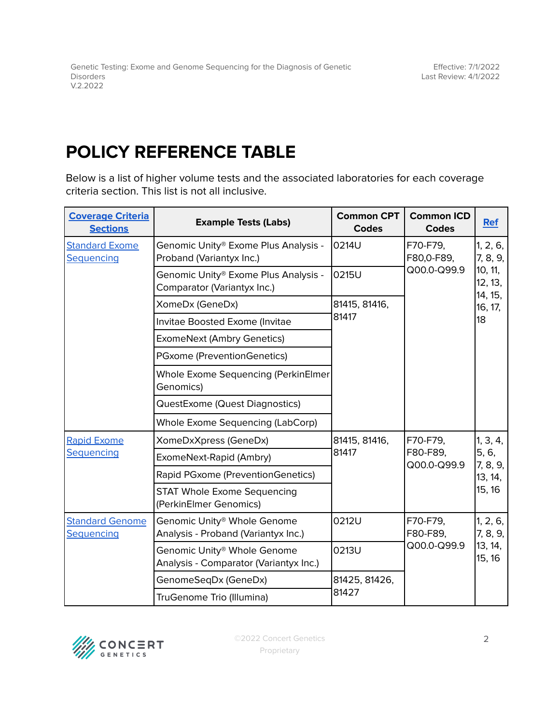## <span id="page-1-0"></span>**POLICY REFERENCE TABLE**

Below is a list of higher volume tests and the associated laboratories for each coverage criteria section. This list is not all inclusive.

| <b>Coverage Criteria</b><br><b>Sections</b> | <b>Example Tests (Labs)</b>                                                       | <b>Common CPT</b><br><b>Codes</b> | <b>Common ICD</b><br><b>Codes</b>     | <b>Ref</b>                                                             |
|---------------------------------------------|-----------------------------------------------------------------------------------|-----------------------------------|---------------------------------------|------------------------------------------------------------------------|
| <b>Standard Exome</b><br><b>Sequencing</b>  | Genomic Unity® Exome Plus Analysis -<br>Proband (Variantyx Inc.)                  | 0214U                             | F70-F79,<br>F80,0-F89,<br>Q00.0-Q99.9 | 1, 2, 6,<br>7, 8, 9,<br>10, 11,<br>12, 13,<br>14, 15,<br>16, 17,<br>18 |
|                                             | Genomic Unity® Exome Plus Analysis -<br>Comparator (Variantyx Inc.)               | 0215U                             |                                       |                                                                        |
|                                             | XomeDx (GeneDx)                                                                   | 81415, 81416,<br>81417            |                                       |                                                                        |
|                                             | Invitae Boosted Exome (Invitae                                                    |                                   |                                       |                                                                        |
|                                             | <b>ExomeNext (Ambry Genetics)</b>                                                 |                                   |                                       |                                                                        |
|                                             | PGxome (PreventionGenetics)                                                       |                                   |                                       |                                                                        |
|                                             | Whole Exome Sequencing (PerkinElmer<br>Genomics)                                  |                                   |                                       |                                                                        |
|                                             | QuestExome (Quest Diagnostics)                                                    |                                   |                                       |                                                                        |
|                                             | <b>Whole Exome Sequencing (LabCorp)</b>                                           |                                   |                                       |                                                                        |
| <b>Rapid Exome</b><br>Sequencing            | XomeDxXpress (GeneDx)                                                             | 81415, 81416,<br>81417            | F70-F79,<br>F80-F89,<br>Q00.0-Q99.9   | 1, 3, 4,<br>5, 6,<br>7, 8, 9,<br>13, 14,<br>15, 16                     |
|                                             | ExomeNext-Rapid (Ambry)                                                           |                                   |                                       |                                                                        |
|                                             | Rapid PGxome (PreventionGenetics)                                                 |                                   |                                       |                                                                        |
|                                             | <b>STAT Whole Exome Sequencing</b><br>(PerkinElmer Genomics)                      |                                   |                                       |                                                                        |
| <b>Standard Genome</b><br>Sequencing        | Genomic Unity <sup>®</sup> Whole Genome<br>Analysis - Proband (Variantyx Inc.)    | 0212U                             | F70-F79,<br>F80-F89,<br>Q00.0-Q99.9   | 1, 2, 6,<br>7, 8, 9,<br>13, 14,<br>15, 16                              |
|                                             | Genomic Unity <sup>®</sup> Whole Genome<br>Analysis - Comparator (Variantyx Inc.) | 0213U                             |                                       |                                                                        |
|                                             | GenomeSeqDx (GeneDx)                                                              | 81425, 81426,<br>81427            |                                       |                                                                        |
|                                             | TruGenome Trio (Illumina)                                                         |                                   |                                       |                                                                        |

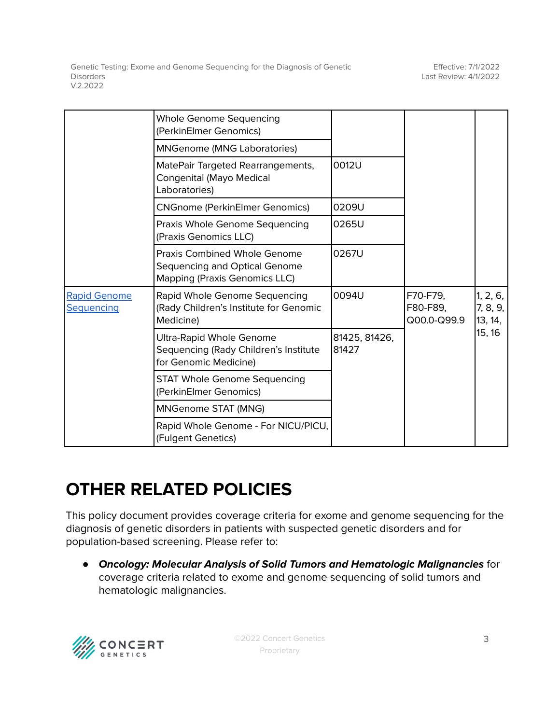|                                   | <b>Whole Genome Sequencing</b><br>(PerkinElmer Genomics)                                                     |                        |                                     |                                           |
|-----------------------------------|--------------------------------------------------------------------------------------------------------------|------------------------|-------------------------------------|-------------------------------------------|
|                                   | <b>MNGenome (MNG Laboratories)</b>                                                                           |                        |                                     |                                           |
|                                   | MatePair Targeted Rearrangements,<br>Congenital (Mayo Medical<br>Laboratories)                               | 0012U                  |                                     |                                           |
|                                   | <b>CNGnome (PerkinElmer Genomics)</b>                                                                        | 0209U                  |                                     |                                           |
|                                   | Praxis Whole Genome Sequencing<br>(Praxis Genomics LLC)                                                      | 0265U                  |                                     |                                           |
|                                   | <b>Praxis Combined Whole Genome</b><br>Sequencing and Optical Genome<br><b>Mapping (Praxis Genomics LLC)</b> | 0267U                  |                                     |                                           |
| <b>Rapid Genome</b><br>Sequencing | Rapid Whole Genome Sequencing<br>(Rady Children's Institute for Genomic<br>Medicine)                         | 0094U                  | F70-F79,<br>F80-F89,<br>Q00.0-Q99.9 | 1, 2, 6,<br>7, 8, 9,<br>13, 14,<br>15, 16 |
|                                   | Ultra-Rapid Whole Genome<br>Sequencing (Rady Children's Institute<br>for Genomic Medicine)                   | 81425, 81426,<br>81427 |                                     |                                           |
|                                   | <b>STAT Whole Genome Sequencing</b><br>(PerkinElmer Genomics)                                                |                        |                                     |                                           |
|                                   | MNGenome STAT (MNG)                                                                                          |                        |                                     |                                           |
|                                   | Rapid Whole Genome - For NICU/PICU,<br>(Fulgent Genetics)                                                    |                        |                                     |                                           |

# **OTHER RELATED POLICIES**

This policy document provides coverage criteria for exome and genome sequencing for the diagnosis of genetic disorders in patients with suspected genetic disorders and for population-based screening. Please refer to:

● **Oncology: Molecular Analysis of Solid Tumors and Hematologic Malignancies** for coverage criteria related to exome and genome sequencing of solid tumors and hematologic malignancies.

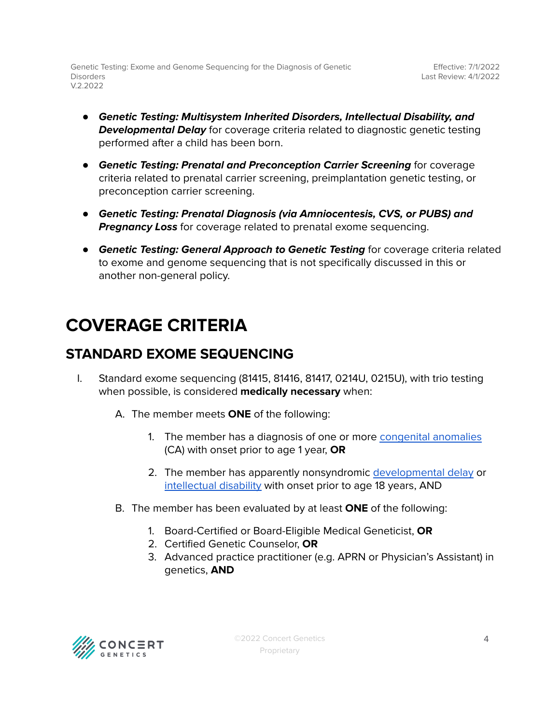- **Genetic Testing: Multisystem Inherited Disorders, Intellectual Disability, and Developmental Delay** for coverage criteria related to diagnostic genetic testing performed after a child has been born.
- **Genetic Testing: Prenatal and Preconception Carrier Screening** for coverage criteria related to prenatal carrier screening, preimplantation genetic testing, or preconception carrier screening.
- **Genetic Testing: Prenatal Diagnosis (via Amniocentesis, CVS, or PUBS) and Pregnancy Loss** for coverage related to prenatal exome sequencing.
- **Genetic Testing: General Approach to Genetic Testing** for coverage criteria related to exome and genome sequencing that is not specifically discussed in this or another non-general policy.

## <span id="page-3-0"></span>**COVERAGE CRITERIA**

#### <span id="page-3-1"></span>**STANDARD EXOME SEQUENCING**

- I. Standard exome sequencing (81415, 81416, 81417, 0214U, 0215U), with trio testing when possible, is considered **medically necessary** when:
	- A. The member meets **ONE** of the following:
		- 1. The member has a diagnosis of one or more [congenital](#page-7-2) anomalies (CA) with onset prior to age 1 year, **OR**
		- 2. The member has apparently nonsyndromic [developmental](#page-7-2) delay or [intellectual](#page-7-2) disability with onset prior to age 18 years, AND
	- B. The member has been evaluated by at least **ONE** of the following:
		- 1. Board-Certified or Board-Eligible Medical Geneticist, **OR**
		- 2. Certified Genetic Counselor, **OR**
		- 3. Advanced practice practitioner (e.g. APRN or Physician's Assistant) in genetics, **AND**

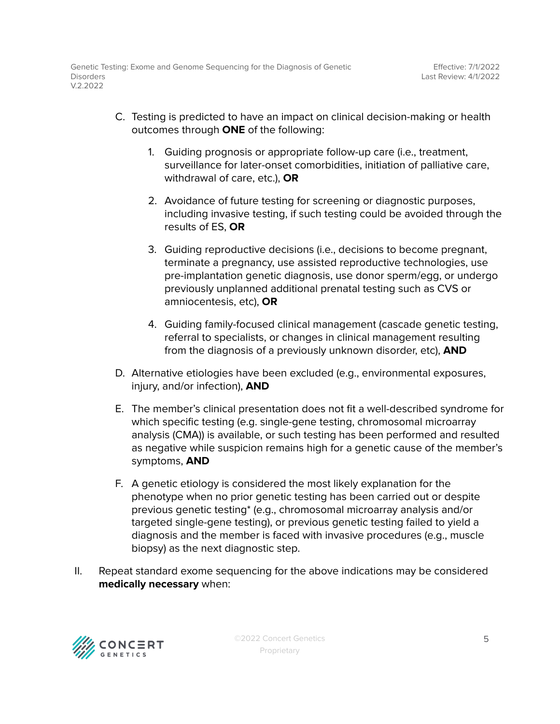- C. Testing is predicted to have an impact on clinical decision-making or health outcomes through **ONE** of the following:
	- 1. Guiding prognosis or appropriate follow-up care (i.e., treatment, surveillance for later-onset comorbidities, initiation of palliative care, withdrawal of care, etc.), **OR**
	- 2. Avoidance of future testing for screening or diagnostic purposes, including invasive testing, if such testing could be avoided through the results of ES, **OR**
	- 3. Guiding reproductive decisions (i.e., decisions to become pregnant, terminate a pregnancy, use assisted reproductive technologies, use pre-implantation genetic diagnosis, use donor sperm/egg, or undergo previously unplanned additional prenatal testing such as CVS or amniocentesis, etc), **OR**
	- 4. Guiding family-focused clinical management (cascade genetic testing, referral to specialists, or changes in clinical management resulting from the diagnosis of a previously unknown disorder, etc), **AND**
- D. Alternative etiologies have been excluded (e.g., environmental exposures, injury, and/or infection), **AND**
- E. The member's clinical presentation does not fit a well-described syndrome for which specific testing (e.g. single-gene testing, chromosomal microarray analysis (CMA)) is available, or such testing has been performed and resulted as negative while suspicion remains high for a genetic cause of the member's symptoms, **AND**
- F. A genetic etiology is considered the most likely explanation for the phenotype when no prior genetic testing has been carried out or despite previous genetic testing\* (e.g., chromosomal microarray analysis and/or targeted single-gene testing), or previous genetic testing failed to yield a diagnosis and the member is faced with invasive procedures (e.g., muscle biopsy) as the next diagnostic step.
- II. Repeat standard exome sequencing for the above indications may be considered **medically necessary** when:

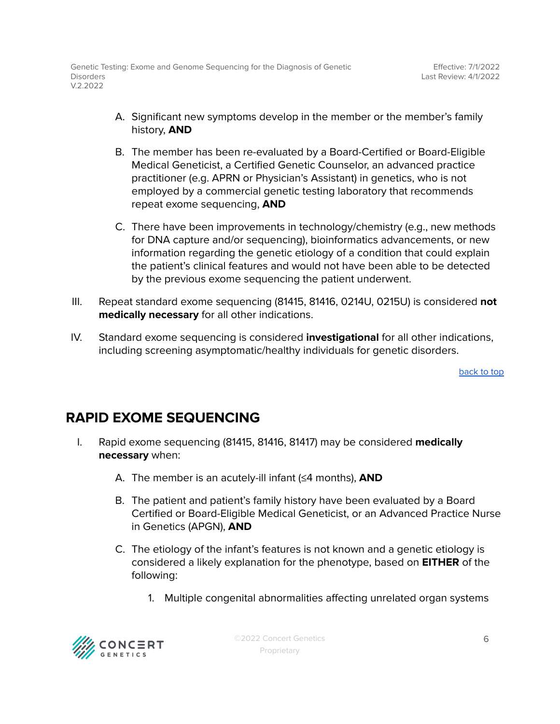- A. Significant new symptoms develop in the member or the member's family history, **AND**
- B. The member has been re-evaluated by a Board-Certified or Board-Eligible Medical Geneticist, a Certified Genetic Counselor, an advanced practice practitioner (e.g. APRN or Physician's Assistant) in genetics, who is not employed by a commercial genetic testing laboratory that recommends repeat exome sequencing, **AND**
- C. There have been improvements in technology/chemistry (e.g., new methods for DNA capture and/or sequencing), bioinformatics advancements, or new information regarding the genetic etiology of a condition that could explain the patient's clinical features and would not have been able to be detected by the previous exome sequencing the patient underwent.
- III. Repeat standard exome sequencing (81415, 81416, 0214U, 0215U) is considered **not medically necessary** for all other indications.
- IV. Standard exome sequencing is considered **investigational** for all other indications, including screening asymptomatic/healthy individuals for genetic disorders.

[back](#page-1-0) to top

#### <span id="page-5-0"></span>**RAPID EXOME SEQUENCING**

- I. Rapid exome sequencing (81415, 81416, 81417) may be considered **medically necessary** when:
	- A. The member is an acutely-ill infant (≤4 months), **AND**
	- B. The patient and patient's family history have been evaluated by a Board Certified or Board-Eligible Medical Geneticist, or an Advanced Practice Nurse in Genetics (APGN), **AND**
	- C. The etiology of the infant's features is not known and a genetic etiology is considered a likely explanation for the phenotype, based on **EITHER** of the following:
		- 1. Multiple congenital abnormalities affecting unrelated organ systems

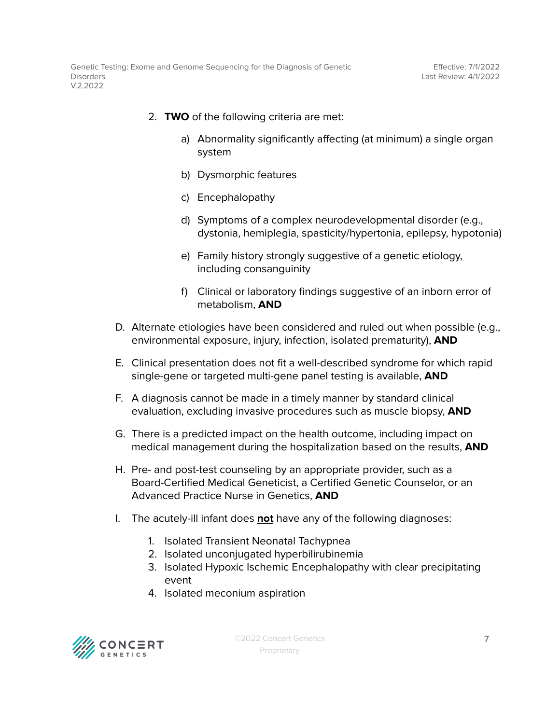- 2. **TWO** of the following criteria are met:
	- a) Abnormality significantly affecting (at minimum) a single organ system
	- b) Dysmorphic features
	- c) Encephalopathy
	- d) Symptoms of a complex neurodevelopmental disorder (e.g., dystonia, hemiplegia, spasticity/hypertonia, epilepsy, hypotonia)
	- e) Family history strongly suggestive of a genetic etiology, including consanguinity
	- f) Clinical or laboratory findings suggestive of an inborn error of metabolism, **AND**
- D. Alternate etiologies have been considered and ruled out when possible (e.g., environmental exposure, injury, infection, isolated prematurity), **AND**
- E. Clinical presentation does not fit a well-described syndrome for which rapid single-gene or targeted multi-gene panel testing is available, **AND**
- F. A diagnosis cannot be made in a timely manner by standard clinical evaluation, excluding invasive procedures such as muscle biopsy, **AND**
- G. There is a predicted impact on the health outcome, including impact on medical management during the hospitalization based on the results, **AND**
- H. Pre- and post-test counseling by an appropriate provider, such as a Board-Certified Medical Geneticist, a Certified Genetic Counselor, or an Advanced Practice Nurse in Genetics, **AND**
- I. The acutely-ill infant does **not** have any of the following diagnoses:
	- 1. Isolated Transient Neonatal Tachypnea
	- 2. Isolated unconjugated hyperbilirubinemia
	- 3. Isolated Hypoxic Ischemic Encephalopathy with clear precipitating event
	- 4. Isolated meconium aspiration

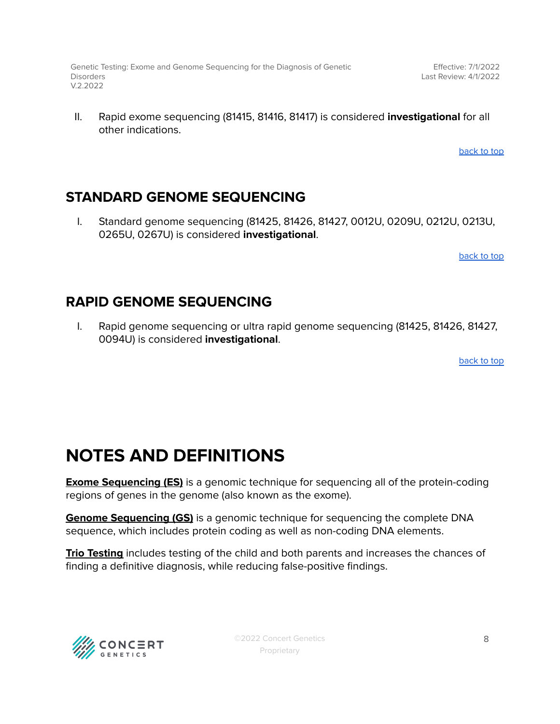Effective: 7/1/2022 Last Review: 4/1/2022

II. Rapid exome sequencing (81415, 81416, 81417) is considered **investigational** for all other indications.

[back](#page-1-0) to top

#### <span id="page-7-0"></span>**STANDARD GENOME SEQUENCING**

I. Standard genome sequencing (81425, 81426, 81427, 0012U, 0209U, 0212U, 0213U, 0265U, 0267U) is considered **investigational**.

[back](#page-1-0) to top

#### <span id="page-7-1"></span>**RAPID GENOME SEQUENCING**

I. Rapid genome sequencing or ultra rapid genome sequencing (81425, 81426, 81427, 0094U) is considered **investigational**.

[back](#page-1-0) to top

## <span id="page-7-2"></span>**NOTES AND DEFINITIONS**

**Exome Sequencing (ES)** is a genomic technique for sequencing all of the protein-coding regions of genes in the genome (also known as the exome).

**Genome Sequencing (GS)** is a genomic technique for sequencing the complete DNA sequence, which includes protein coding as well as non-coding DNA elements.

**Trio Testing** includes testing of the child and both parents and increases the chances of finding a definitive diagnosis, while reducing false-positive findings.

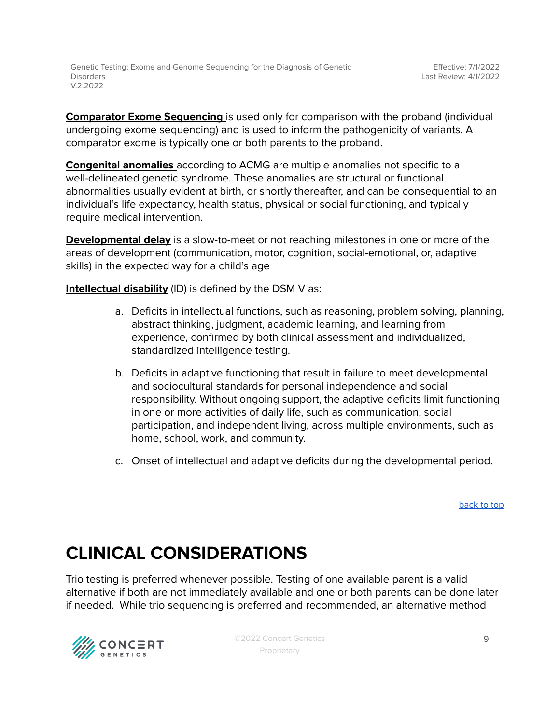**Comparator Exome Sequencing** is used only for comparison with the proband (individual undergoing exome sequencing) and is used to inform the pathogenicity of variants. A comparator exome is typically one or both parents to the proband.

**Congenital anomalies** according to ACMG are multiple anomalies not specific to a well-delineated genetic syndrome. These anomalies are structural or functional abnormalities usually evident at birth, or shortly thereafter, and can be consequential to an individual's life expectancy, health status, physical or social functioning, and typically require medical intervention.

**Developmental delay** is a slow-to-meet or not reaching milestones in one or more of the areas of development (communication, motor, cognition, social-emotional, or, adaptive skills) in the expected way for a child's age

**Intellectual disability** (ID) is defined by the DSM V as:

- a. Deficits in intellectual functions, such as reasoning, problem solving, planning, abstract thinking, judgment, academic learning, and learning from experience, confirmed by both clinical assessment and individualized, standardized intelligence testing.
- b. Deficits in adaptive functioning that result in failure to meet developmental and sociocultural standards for personal independence and social responsibility. Without ongoing support, the adaptive deficits limit functioning in one or more activities of daily life, such as communication, social participation, and independent living, across multiple environments, such as home, school, work, and community.
- c. Onset of intellectual and adaptive deficits during the developmental period.

[back](#page-1-0) to top

# **CLINICAL CONSIDERATIONS**

Trio testing is preferred whenever possible. Testing of one available parent is a valid alternative if both are not immediately available and one or both parents can be done later if needed. While trio sequencing is preferred and recommended, an alternative method

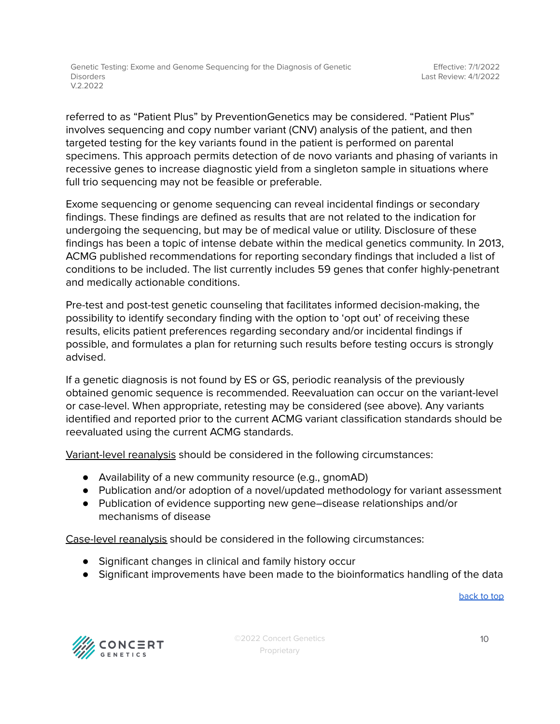referred to as "Patient Plus" by PreventionGenetics may be considered. "Patient Plus" involves sequencing and copy number variant (CNV) analysis of the patient, and then targeted testing for the key variants found in the patient is performed on parental specimens. This approach permits detection of de novo variants and phasing of variants in recessive genes to increase diagnostic yield from a singleton sample in situations where full trio sequencing may not be feasible or preferable.

Exome sequencing or genome sequencing can reveal incidental findings or secondary findings. These findings are defined as results that are not related to the indication for undergoing the sequencing, but may be of medical value or utility. Disclosure of these findings has been a topic of intense debate within the medical genetics community. In 2013, ACMG published recommendations for reporting secondary findings that included a list of conditions to be included. The list currently includes 59 genes that confer highly-penetrant and medically actionable conditions.

Pre-test and post-test genetic counseling that facilitates informed decision-making, the possibility to identify secondary finding with the option to 'opt out' of receiving these results, elicits patient preferences regarding secondary and/or incidental findings if possible, and formulates a plan for returning such results before testing occurs is strongly advised.

If a genetic diagnosis is not found by ES or GS, periodic reanalysis of the previously obtained genomic sequence is recommended. Reevaluation can occur on the variant-level or case-level. When appropriate, retesting may be considered (see above). Any variants identified and reported prior to the current ACMG variant classification standards should be reevaluated using the current ACMG standards.

Variant-level reanalysis should be considered in the following circumstances:

- Availability of a new community resource (e.g., gnomAD)
- Publication and/or adoption of a novel/updated methodology for variant assessment
- Publication of evidence supporting new gene–disease relationships and/or mechanisms of disease

Case-level reanalysis should be considered in the following circumstances:

- Significant changes in clinical and family history occur
- Significant improvements have been made to the bioinformatics handling of the data

[back](#page-1-0) to top

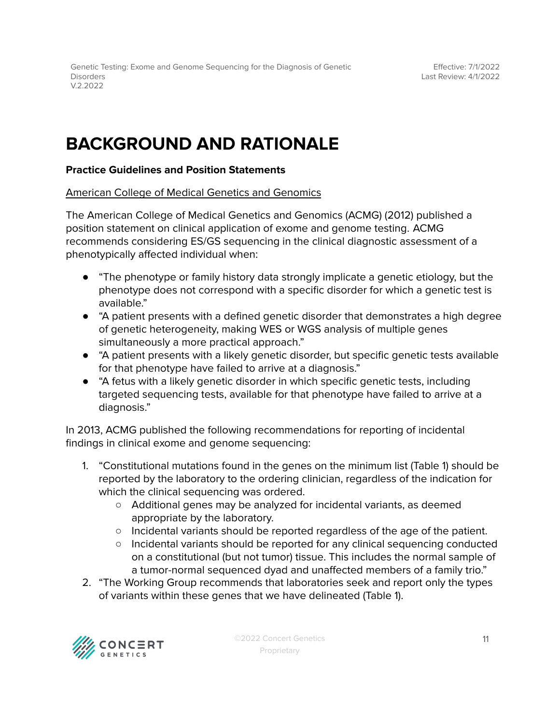## **BACKGROUND AND RATIONALE**

#### **Practice Guidelines and Position Statements**

American College of Medical Genetics and Genomics

The American College of Medical Genetics and Genomics (ACMG) (2012) published a position statement on clinical application of exome and genome testing. ACMG recommends considering ES/GS sequencing in the clinical diagnostic assessment of a phenotypically affected individual when:

- "The phenotype or family history data strongly implicate a genetic etiology, but the phenotype does not correspond with a specific disorder for which a genetic test is available."
- "A patient presents with a defined genetic disorder that demonstrates a high degree of genetic heterogeneity, making WES or WGS analysis of multiple genes simultaneously a more practical approach."
- "A patient presents with a likely genetic disorder, but specific genetic tests available for that phenotype have failed to arrive at a diagnosis."
- "A fetus with a likely genetic disorder in which specific genetic tests, including targeted sequencing tests, available for that phenotype have failed to arrive at a diagnosis."

In 2013, ACMG published the following recommendations for reporting of incidental findings in clinical exome and genome sequencing:

- 1. "Constitutional mutations found in the genes on the minimum list (Table 1) should be reported by the laboratory to the ordering clinician, regardless of the indication for which the clinical sequencing was ordered.
	- Additional genes may be analyzed for incidental variants, as deemed appropriate by the laboratory.
	- Incidental variants should be reported regardless of the age of the patient.
	- Incidental variants should be reported for any clinical sequencing conducted on a constitutional (but not tumor) tissue. This includes the normal sample of a tumor-normal sequenced dyad and unaffected members of a family trio."
- 2. "The Working Group recommends that laboratories seek and report only the types of variants within these genes that we have delineated (Table 1).

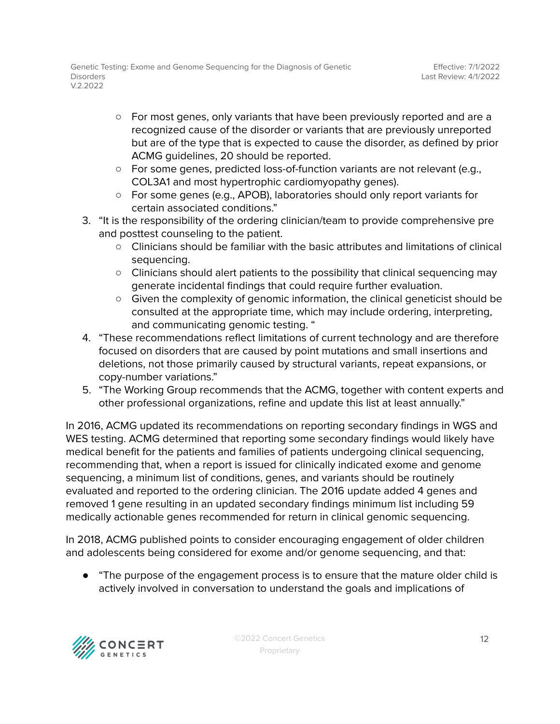- For most genes, only variants that have been previously reported and are a recognized cause of the disorder or variants that are previously unreported but are of the type that is expected to cause the disorder, as defined by prior ACMG guidelines, 20 should be reported.
- For some genes, predicted loss-of-function variants are not relevant (e.g., COL3A1 and most hypertrophic cardiomyopathy genes).
- For some genes (e.g., APOB), laboratories should only report variants for certain associated conditions."
- 3. "It is the responsibility of the ordering clinician/team to provide comprehensive pre and posttest counseling to the patient.
	- Clinicians should be familiar with the basic attributes and limitations of clinical sequencing.
	- Clinicians should alert patients to the possibility that clinical sequencing may generate incidental findings that could require further evaluation.
	- Given the complexity of genomic information, the clinical geneticist should be consulted at the appropriate time, which may include ordering, interpreting, and communicating genomic testing. "
- 4. "These recommendations reflect limitations of current technology and are therefore focused on disorders that are caused by point mutations and small insertions and deletions, not those primarily caused by structural variants, repeat expansions, or copy-number variations."
- 5. "The Working Group recommends that the ACMG, together with content experts and other professional organizations, refine and update this list at least annually."

In 2016, ACMG updated its recommendations on reporting secondary findings in WGS and WES testing. ACMG determined that reporting some secondary findings would likely have medical benefit for the patients and families of patients undergoing clinical sequencing, recommending that, when a report is issued for clinically indicated exome and genome sequencing, a minimum list of conditions, genes, and variants should be routinely evaluated and reported to the ordering clinician. The 2016 update added 4 genes and removed 1 gene resulting in an updated secondary findings minimum list including 59 medically actionable genes recommended for return in clinical genomic sequencing.

In 2018, ACMG published points to consider encouraging engagement of older children and adolescents being considered for exome and/or genome sequencing, and that:

● "The purpose of the engagement process is to ensure that the mature older child is actively involved in conversation to understand the goals and implications of

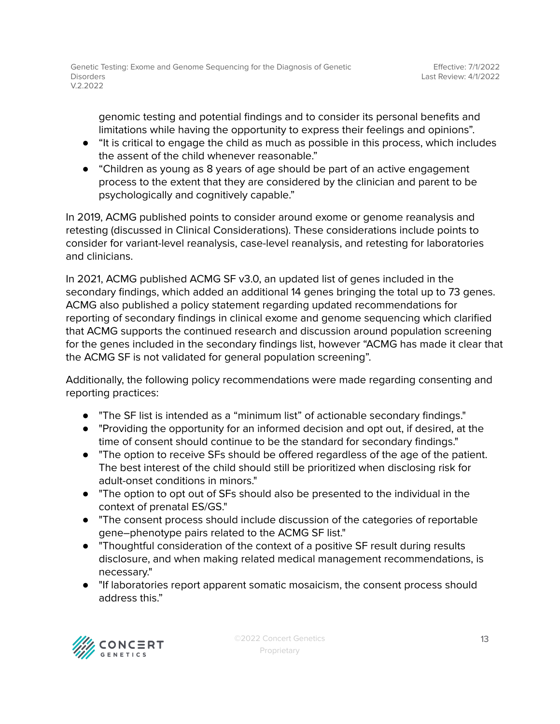genomic testing and potential findings and to consider its personal benefits and limitations while having the opportunity to express their feelings and opinions".

- "It is critical to engage the child as much as possible in this process, which includes the assent of the child whenever reasonable."
- "Children as young as 8 years of age should be part of an active engagement process to the extent that they are considered by the clinician and parent to be psychologically and cognitively capable."

In 2019, ACMG published points to consider around exome or genome reanalysis and retesting (discussed in Clinical Considerations). These considerations include points to consider for variant-level reanalysis, case-level reanalysis, and retesting for laboratories and clinicians.

In 2021, ACMG published ACMG SF v3.0, an updated list of genes included in the secondary findings, which added an additional 14 genes bringing the total up to 73 genes. ACMG also published a policy statement regarding updated recommendations for reporting of secondary findings in clinical exome and genome sequencing which clarified that ACMG supports the continued research and discussion around population screening for the genes included in the secondary findings list, however "ACMG has made it clear that the ACMG SF is not validated for general population screening".

Additionally, the following policy recommendations were made regarding consenting and reporting practices:

- "The SF list is intended as a "minimum list" of actionable secondary findings."
- "Providing the opportunity for an informed decision and opt out, if desired, at the time of consent should continue to be the standard for secondary findings."
- "The option to receive SFs should be offered regardless of the age of the patient. The best interest of the child should still be prioritized when disclosing risk for adult-onset conditions in minors."
- "The option to opt out of SFs should also be presented to the individual in the context of prenatal ES/GS."
- "The consent process should include discussion of the categories of reportable gene–phenotype pairs related to the ACMG SF list."
- "Thoughtful consideration of the context of a positive SF result during results disclosure, and when making related medical management recommendations, is necessary."
- "If laboratories report apparent somatic mosaicism, the consent process should address this."

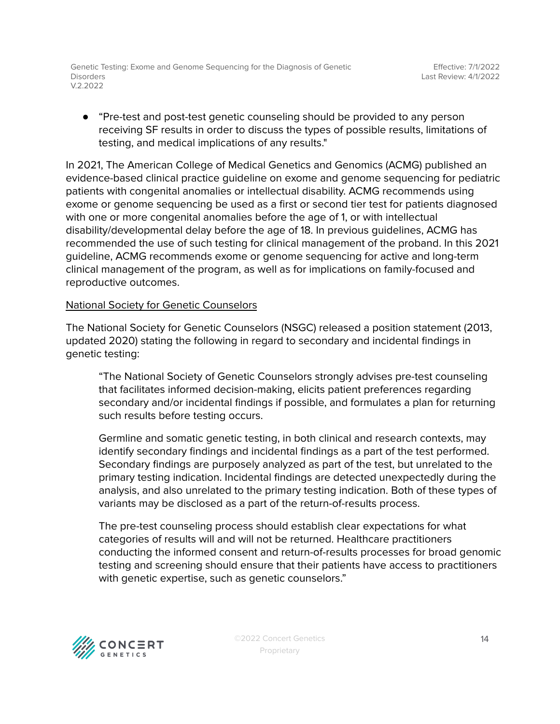● "Pre-test and post-test genetic counseling should be provided to any person receiving SF results in order to discuss the types of possible results, limitations of testing, and medical implications of any results."

In 2021, The American College of Medical Genetics and Genomics (ACMG) published an evidence-based clinical practice guideline on exome and genome sequencing for pediatric patients with congenital anomalies or intellectual disability. ACMG recommends using exome or genome sequencing be used as a first or second tier test for patients diagnosed with one or more congenital anomalies before the age of 1, or with intellectual disability/developmental delay before the age of 18. In previous guidelines, ACMG has recommended the use of such testing for clinical management of the proband. In this 2021 guideline, ACMG recommends exome or genome sequencing for active and long-term clinical management of the program, as well as for implications on family-focused and reproductive outcomes.

#### National Society for Genetic Counselors

The National Society for Genetic Counselors (NSGC) released a position statement (2013, updated 2020) stating the following in regard to secondary and incidental findings in genetic testing:

"The National Society of Genetic Counselors strongly advises pre-test counseling that facilitates informed decision-making, elicits patient preferences regarding secondary and/or incidental findings if possible, and formulates a plan for returning such results before testing occurs.

Germline and somatic genetic testing, in both clinical and research contexts, may identify secondary findings and incidental findings as a part of the test performed. Secondary findings are purposely analyzed as part of the test, but unrelated to the primary testing indication. Incidental findings are detected unexpectedly during the analysis, and also unrelated to the primary testing indication. Both of these types of variants may be disclosed as a part of the return-of-results process.

The pre-test counseling process should establish clear expectations for what categories of results will and will not be returned. Healthcare practitioners conducting the informed consent and return-of-results processes for broad genomic testing and screening should ensure that their patients have access to practitioners with genetic expertise, such as genetic counselors."

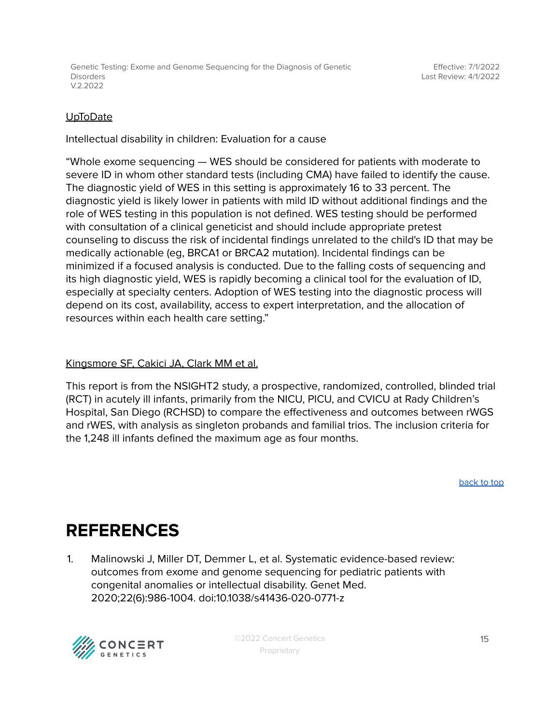Effective: 7/1/2022 Last Review: 4/1/2022

#### UpToDate

Intellectual disability in children: Evaluation for a cause

"Whole exome sequencing — WES should be considered for patients with moderate to severe ID in whom other standard tests (including CMA) have failed to identify the cause. The diagnostic yield of WES in this setting is approximately 16 to 33 percent. The diagnostic yield is likely lower in patients with mild ID without additional findings and the role of WES testing in this population is not defined. WES testing should be performed with consultation of a clinical geneticist and should include appropriate pretest counseling to discuss the risk of incidental findings unrelated to the child's ID that may be medically actionable (eg, BRCA1 or BRCA2 mutation). Incidental findings can be minimized if a focused analysis is conducted. Due to the falling costs of sequencing and its high diagnostic yield, WES is rapidly becoming a clinical tool for the evaluation of ID, especially at specialty centers. Adoption of WES testing into the diagnostic process will depend on its cost, availability, access to expert interpretation, and the allocation of resources within each health care setting."

#### Kingsmore SF, Cakici JA, Clark MM et al.

This report is from the NSIGHT2 study, a prospective, randomized, controlled, blinded trial (RCT) in acutely ill infants, primarily from the NICU, PICU, and CVICU at Rady Children's Hospital, San Diego (RCHSD) to compare the effectiveness and outcomes between rWGS and rWES, with analysis as singleton probands and familial trios. The inclusion criteria for the 1,248 ill infants defined the maximum age as four months.

[back](#page-1-0) to top

### <span id="page-14-0"></span>**REFERENCES**

1. Malinowski J, Miller DT, Demmer L, et al. Systematic evidence-based review: outcomes from exome and genome sequencing for pediatric patients with congenital anomalies or intellectual disability. Genet Med. 2020;22(6):986-1004. doi:10.1038/s41436-020-0771-z

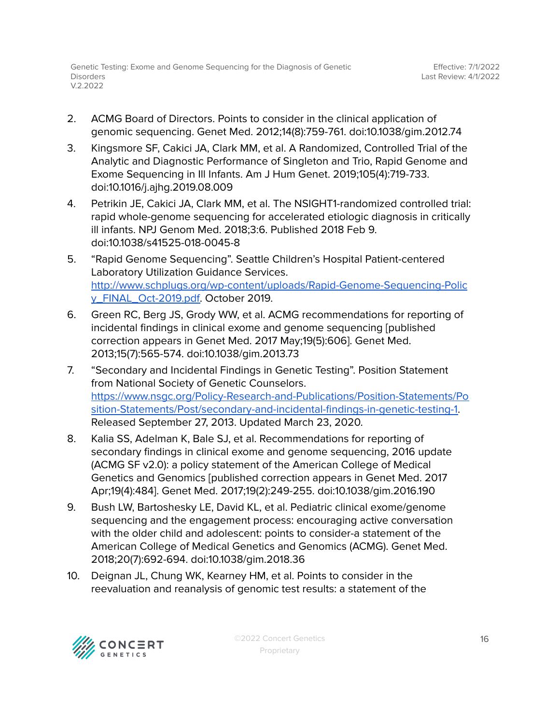- 2. ACMG Board of Directors. Points to consider in the clinical application of genomic sequencing. Genet Med. 2012;14(8):759-761. doi:10.1038/gim.2012.74
- 3. Kingsmore SF, Cakici JA, Clark MM, et al. A Randomized, Controlled Trial of the Analytic and Diagnostic Performance of Singleton and Trio, Rapid Genome and Exome Sequencing in Ill Infants. Am J Hum Genet. 2019;105(4):719-733. doi:10.1016/j.ajhg.2019.08.009
- 4. Petrikin JE, Cakici JA, Clark MM, et al. The NSIGHT1-randomized controlled trial: rapid whole-genome sequencing for accelerated etiologic diagnosis in critically ill infants. NPJ Genom Med. 2018;3:6. Published 2018 Feb 9. doi:10.1038/s41525-018-0045-8
- 5. "Rapid Genome Sequencing". Seattle Children's Hospital Patient-centered Laboratory Utilization Guidance Services. [http://www.schplugs.org/wp-content/uploads/Rapid-Genome-Sequencing-Polic](http://www.schplugs.org/wp-content/uploads/Rapid-Genome-Sequencing-Policy_FINAL_Oct-2019.pdf) [y\\_FINAL\\_Oct-2019.pdf.](http://www.schplugs.org/wp-content/uploads/Rapid-Genome-Sequencing-Policy_FINAL_Oct-2019.pdf) October 2019.
- 6. Green RC, Berg JS, Grody WW, et al. ACMG recommendations for reporting of incidental findings in clinical exome and genome sequencing [published correction appears in Genet Med. 2017 May;19(5):606]. Genet Med. 2013;15(7):565-574. doi:10.1038/gim.2013.73
- 7. "Secondary and Incidental Findings in Genetic Testing". Position Statement from National Society of Genetic Counselors. [https://www.nsgc.org/Policy-Research-and-Publications/Position-Statements/Po](https://www.nsgc.org/Policy-Research-and-Publications/Position-Statements/Position-Statements/Post/secondary-and-incidental-findings-in-genetic-testing-1) [sition-Statements/Post/secondary-and-incidental-findings-in-genetic-testing-1.](https://www.nsgc.org/Policy-Research-and-Publications/Position-Statements/Position-Statements/Post/secondary-and-incidental-findings-in-genetic-testing-1) Released September 27, 2013. Updated March 23, 2020.
- 8. Kalia SS, Adelman K, Bale SJ, et al. Recommendations for reporting of secondary findings in clinical exome and genome sequencing, 2016 update (ACMG SF v2.0): a policy statement of the American College of Medical Genetics and Genomics [published correction appears in Genet Med. 2017 Apr;19(4):484]. Genet Med. 2017;19(2):249-255. doi:10.1038/gim.2016.190
- 9. Bush LW, Bartoshesky LE, David KL, et al. Pediatric clinical exome/genome sequencing and the engagement process: encouraging active conversation with the older child and adolescent: points to consider-a statement of the American College of Medical Genetics and Genomics (ACMG). Genet Med. 2018;20(7):692-694. doi:10.1038/gim.2018.36
- 10. Deignan JL, Chung WK, Kearney HM, et al. Points to consider in the reevaluation and reanalysis of genomic test results: a statement of the

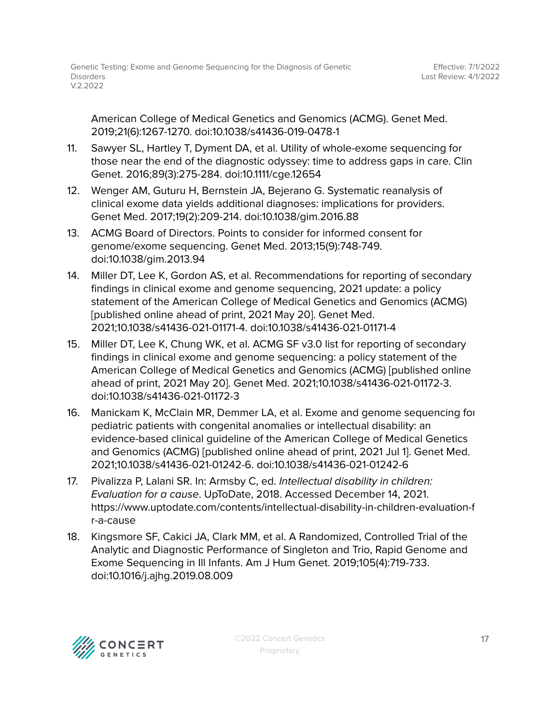American College of Medical Genetics and Genomics (ACMG). Genet Med. 2019;21(6):1267-1270. doi:10.1038/s41436-019-0478-1

- 11. Sawyer SL, Hartley T, Dyment DA, et al. Utility of whole-exome sequencing for those near the end of the diagnostic odyssey: time to address gaps in care. Clin Genet. 2016;89(3):275-284. doi:10.1111/cge.12654
- 12. Wenger AM, Guturu H, Bernstein JA, Bejerano G. Systematic reanalysis of clinical exome data yields additional diagnoses: implications for providers. Genet Med. 2017;19(2):209-214. doi:10.1038/gim.2016.88
- 13. ACMG Board of Directors. Points to consider for informed consent for genome/exome sequencing. Genet Med. 2013;15(9):748-749. doi:10.1038/gim.2013.94
- 14. Miller DT, Lee K, Gordon AS, et al. Recommendations for reporting of secondary findings in clinical exome and genome sequencing, 2021 update: a policy statement of the American College of Medical Genetics and Genomics (ACMG) [published online ahead of print, 2021 May 20]. Genet Med. 2021;10.1038/s41436-021-01171-4. doi:10.1038/s41436-021-01171-4
- 15. Miller DT, Lee K, Chung WK, et al. ACMG SF v3.0 list for reporting of secondary findings in clinical exome and genome sequencing: a policy statement of the American College of Medical Genetics and Genomics (ACMG) [published online ahead of print, 2021 May 20]. Genet Med. 2021;10.1038/s41436-021-01172-3. doi:10.1038/s41436-021-01172-3
- 16. Manickam K, McClain MR, Demmer LA, et al. Exome and genome sequencing for pediatric patients with congenital anomalies or intellectual disability: an evidence-based clinical guideline of the American College of Medical Genetics and Genomics (ACMG) [published online ahead of print, 2021 Jul 1]. Genet Med. 2021;10.1038/s41436-021-01242-6. doi:10.1038/s41436-021-01242-6
- 17. Pivalizza P, Lalani SR. In: Armsby C, ed. Intellectual disability in children: Evaluation for a cause. UpToDate, 2018. Accessed December 14, 2021. https://www.uptodate.com/contents/intellectual-disability-in-children-evaluation-f r-a-cause
- 18. Kingsmore SF, Cakici JA, Clark MM, et al. A Randomized, Controlled Trial of the Analytic and Diagnostic Performance of Singleton and Trio, Rapid Genome and Exome Sequencing in Ill Infants. Am J Hum Genet. 2019;105(4):719-733. doi:10.1016/j.ajhg.2019.08.009